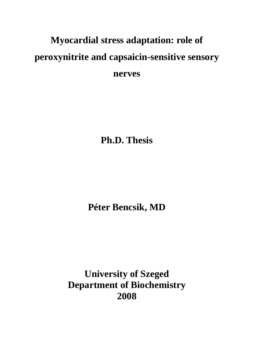# **Myocardial stress adaptation: role of peroxynitrite and capsaicin-sensitive sensory nerves**

**Ph.D. Thesis** 

**Péter Bencsik, MD** 

**University of Szeged Department of Biochemistry 2008**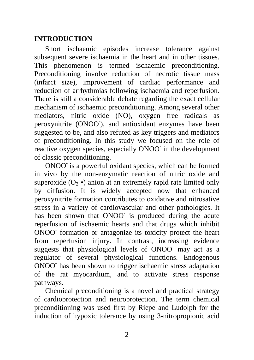## **INTRODUCTION**

Short ischaemic episodes increase tolerance against subsequent severe ischaemia in the heart and in other tissues. This phenomenon is termed ischaemic preconditioning. Preconditioning involve reduction of necrotic tissue mass (infarct size), improvement of cardiac performance and reduction of arrhythmias following ischaemia and reperfusion. There is still a considerable debate regarding the exact cellular mechanism of ischaemic preconditioning. Among several other mediators, nitric oxide (NO), oxygen free radicals as peroxynitrite (ONOO), and antioxidant enzymes have been suggested to be, and also refuted as key triggers and mediators of preconditioning. In this study we focused on the role of reactive oxygen species, especially ONOO in the development of classic preconditioning.

ONOO<sup>-</sup> is a powerful oxidant species, which can be formed in vivo by the non-enzymatic reaction of nitric oxide and superoxide  $(O_2^-)$  anion at an extremely rapid rate limited only by diffusion. It is widely accepted now that enhanced peroxynitrite formation contributes to oxidative and nitrosative stress in a variety of cardiovascular and other pathologies. It has been shown that ONOO is produced during the acute reperfusion of ischaemic hearts and that drugs which inhibit ONOO<sup>-</sup> formation or antagonize its toxicity protect the heart from reperfusion injury. In contrast, increasing evidence suggests that physiological levels of ONOO may act as a regulator of several physiological functions. Endogenous ONOO- has been shown to trigger ischaemic stress adaptation of the rat myocardium, and to activate stress response pathways.

Chemical preconditioning is a novel and practical strategy of cardioprotection and neuroprotection. The term chemical preconditioning was used first by Riepe and Ludolph for the induction of hypoxic tolerance by using 3-nitropropionic acid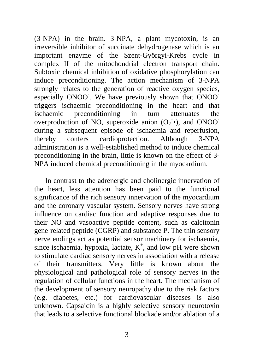(3-NPA) in the brain. 3-NPA, a plant mycotoxin, is an irreversible inhibitor of succinate dehydrogenase which is an important enzyme of the Szent-Györgyi-Krebs cycle in complex II of the mitochondrial electron transport chain. Subtoxic chemical inhibition of oxidative phosphorylation can induce preconditioning. The action mechanism of 3-NPA strongly relates to the generation of reactive oxygen species, especially ONOO. We have previously shown that ONOO triggers ischaemic preconditioning in the heart and that ischaemic preconditioning in turn attenuates the overproduction of NO, superoxide anion  $(O_2^- \bullet)$ , and ONOO<sup>-</sup> during a subsequent episode of ischaemia and reperfusion, thereby confers cardioprotection. Although 3-NPA administration is a well-established method to induce chemical preconditioning in the brain, little is known on the effect of 3- NPA induced chemical preconditioning in the myocardium.

In contrast to the adrenergic and cholinergic innervation of the heart, less attention has been paid to the functional significance of the rich sensory innervation of the myocardium and the coronary vascular system. Sensory nerves have strong influence on cardiac function and adaptive responses due to their NO and vasoactive peptide content, such as calcitonin gene-related peptide (CGRP) and substance P. The thin sensory nerve endings act as potential sensor machinery for ischaemia, since ischaemia, hypoxia, lactate,  $K^+$ , and low pH were shown to stimulate cardiac sensory nerves in association with a release of their transmitters. Very little is known about the physiological and pathological role of sensory nerves in the regulation of cellular functions in the heart. The mechanism of the development of sensory neuropathy due to the risk factors (e.g. diabetes, etc.) for cardiovascular diseases is also unknown. Capsaicin is a highly selective sensory neurotoxin that leads to a selective functional blockade and/or ablation of a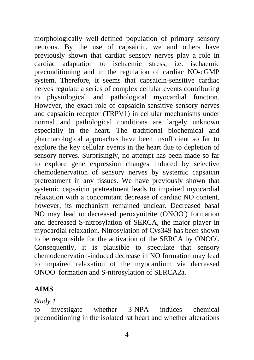morphologically well-defined population of primary sensory neurons. By the use of capsaicin, we and others have previously shown that cardiac sensory nerves play a role in cardiac adaptation to ischaemic stress, i.e. ischaemic preconditioning and in the regulation of cardiac NO-cGMP system. Therefore, it seems that capsaicin-sensitive cardiac nerves regulate a series of complex cellular events contributing to physiological and pathological myocardial function. However, the exact role of capsaicin-sensitive sensory nerves and capsaicin receptor (TRPV1) in cellular mechanisms under normal and pathological conditions are largely unknown especially in the heart. The traditional biochemical and pharmacological approaches have been insufficient so far to explore the key cellular events in the heart due to depletion of sensory nerves. Surprisingly, no attempt has been made so far to explore gene expression changes induced by selective chemodenervation of sensory nerves by systemic capsaicin pretreatment in any tissues. We have previously shown that systemic capsaicin pretreatment leads to impaired myocardial relaxation with a concomitant decrease of cardiac NO content, however, its mechanism remained unclear. Decreased basal NO may lead to decreased peroxynitrite (ONOO<sup>-</sup>) formation and decreased S-nitrosylation of SERCA, the major player in myocardial relaxation. Nitrosylation of Cys349 has been shown to be responsible for the activation of the SERCA by ONOO- . Consequently, it is plausible to speculate that sensory chemodenervation-induced decrease in NO formation may lead to impaired relaxation of the myocardium via decreased ONOO<sup>-</sup> formation and S-nitrosylation of SERCA2a.

## **AIMS**

## *Study 1*

to investigate whether 3-NPA induces chemical preconditioning in the isolated rat heart and whether alterations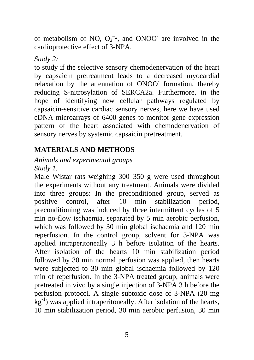of metabolism of NO,  $O_2^-$ , and ONOO<sup>-</sup> are involved in the cardioprotective effect of 3-NPA.

*Study 2:* 

to study if the selective sensory chemodenervation of the heart by capsaicin pretreatment leads to a decreased myocardial relaxation by the attenuation of ONOO formation, thereby reducing S-nitrosylation of SERCA2a. Furthermore, in the hope of identifying new cellular pathways regulated by capsaicin-sensitive cardiac sensory nerves, here we have used cDNA microarrays of 6400 genes to monitor gene expression pattern of the heart associated with chemodenervation of sensory nerves by systemic capsaicin pretreatment.

# **MATERIALS AND METHODS**

#### *Animals and experimental groups Study 1.*

Male Wistar rats weighing 300–350 g were used throughout the experiments without any treatment. Animals were divided into three groups: In the preconditioned group, served as positive control, after 10 min stabilization period, preconditioning was induced by three intermittent cycles of 5 min no-flow ischaemia, separated by 5 min aerobic perfusion, which was followed by 30 min global ischaemia and 120 min reperfusion. In the control group, solvent for 3-NPA was applied intraperitoneally 3 h before isolation of the hearts. After isolation of the hearts 10 min stabilization period followed by 30 min normal perfusion was applied, then hearts were subjected to 30 min global ischaemia followed by 120 min of reperfusion. In the 3-NPA treated group, animals were pretreated in vivo by a single injection of 3-NPA 3 h before the perfusion protocol. A single subtoxic dose of 3-NPA (20 mg  $kg^{-1}$ ) was applied intraperitoneally. After isolation of the hearts, 10 min stabilization period, 30 min aerobic perfusion, 30 min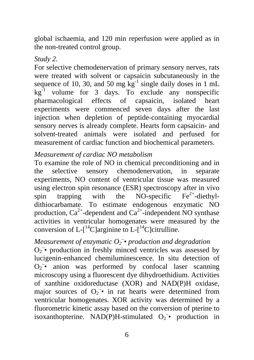global ischaemia, and 120 min reperfusion were applied as in the non-treated control group.

#### *Study 2.*

For selective chemodenervation of primary sensory nerves, rats were treated with solvent or capsaicin subcutaneously in the sequence of 10, 30, and 50 mg  $kg^{-1}$  single daily doses in 1 mL  $kg^{-1}$  volume for 3 days. To exclude any nonspecific pharmacological effects of capsaicin, isolated heart experiments were commenced seven days after the last injection when depletion of peptide-containing myocardial sensory nerves is already complete. Hearts form capsaicin- and solvent-treated animals were isolated and perfused for measurement of cardiac function and biochemical parameters.

## *Measurement of cardiac NO metabolism*

To examine the role of NO in chemical preconditioning and in the selective sensory chemodenervation, in separate experiments, NO content of ventricular tissue was measured using electron spin resonance (ESR) spectroscopy after in vivo spin trapping with the NO-specific  $Fe^{2+}$ -diethyldithiocarbamate. To estimate endogenous enzymatic NO production,  $Ca^{2+}$ -dependent and  $Ca^{2+}$ -independent NO synthase activities in ventricular homogenates were measured by the conversion of L- $[$ <sup>14</sup>C]arginine to L- $[$ <sup>14</sup>C]citrulline.

# *Measurement of enzymatic O2 – • production and degradation*

 $O_2$  • production in freshly minced ventricles was assessed by lucigenin-enhanced chemiluminescence. In situ detection of  $O_2$  anion was performed by confocal laser scanning microscopy using a fluorescent dye dihydroethidium. Activities of xanthine oxidoreductase (XOR) and NAD(P)H oxidase, major sources of  $O_2^-$  in rat hearts were determined from ventricular homogenates. XOR activity was determined by a fluorometric kinetic assay based on the conversion of pterine to isoxanthopterine. NAD(P)H-stimulated  $O_2^-$  production in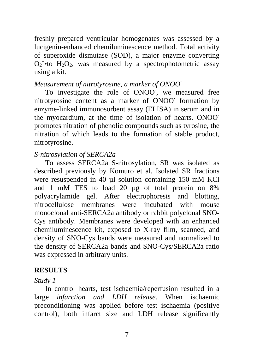freshly prepared ventricular homogenates was assessed by a lucigenin-enhanced chemiluminescence method. Total activity of superoxide dismutase (SOD), a major enzyme converting  $O_2$ <sup>-•to</sup> H<sub>2</sub>O<sub>2</sub>, was measured by a spectrophotometric assay using a kit.

#### *Measurement of nitrotyrosine, a marker of ONOO-*

To investigate the role of ONOO**-** , we measured free nitrotyrosine content as a marker of ONOO**-** formation by enzyme-linked immunosorbent assay (ELISA) in serum and in the myocardium, at the time of isolation of hearts. ONOOpromotes nitration of phenolic compounds such as tyrosine, the nitration of which leads to the formation of stable product, nitrotyrosine.

## *S-nitrosylation of SERCA2a*

To assess SERCA2a S-nitrosylation, SR was isolated as described previously by Komuro et al. Isolated SR fractions were resuspended in 40 µl solution containing 150 mM KCl and 1 mM TES to load 20 µg of total protein on 8% polyacrylamide gel. After electrophoresis and blotting, nitrocellulose membranes were incubated with mouse monoclonal anti-SERCA2a antibody or rabbit polyclonal SNO-Cys antibody. Membranes were developed with an enhanced chemiluminescence kit, exposed to X-ray film, scanned, and density of SNO-Cys bands were measured and normalized to the density of SERCA2a bands and SNO-Cys/SERCA2a ratio was expressed in arbitrary units.

# **RESULTS**

## *Study 1*

In control hearts, test ischaemia/reperfusion resulted in a large *infarction and LDH release*. When ischaemic preconditioning was applied before test ischaemia (positive control), both infarct size and LDH release significantly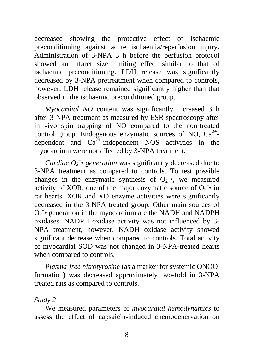decreased showing the protective effect of ischaemic preconditioning against acute ischaemia/reperfusion injury. Administration of 3-NPA 3 h before the perfusion protocol showed an infarct size limiting effect similar to that of ischaemic preconditioning. LDH release was significantly decreased by 3-NPA pretreatment when compared to controls, however, LDH release remained significantly higher than that observed in the ischaemic preconditioned group.

*Myocardial NO* content was significantly increased 3 h after 3-NPA treatment as measured by ESR spectroscopy after in vivo spin trapping of NO compared to the non-treated control group. Endogenous enzymatic sources of NO,  $Ca^{2+}$ dependent and  $Ca^{2+}$ -independent NOS activities in the myocardium were not affected by 3-NPA treatment.

*Cardiac*  $O_2$ <sup>-</sup> *•* generation was significantly decreased due to 3-NPA treatment as compared to controls. To test possible changes in the enzymatic synthesis of  $O_2^-$ , we measured activity of XOR, one of the major enzymatic source of  $O_2$  in rat hearts. XOR and XO enzyme activities were significantly decreased in the 3-NPA treated group. Other main sources of  $O_2$ <sup>-</sup> generation in the myocardium are the NADH and NADPH oxidases. NADPH oxidase activity was not influenced by 3- NPA treatment, however, NADH oxidase activity showed significant decrease when compared to controls. Total activity of myocardial SOD was not changed in 3-NPA-treated hearts when compared to controls.

*Plasma-free nitrotyrosine* (as a marker for systemic ONOOformation) was decreased approximately two-fold in 3-NPA treated rats as compared to controls.

#### *Study 2*

We measured parameters of *myocardial hemodynamics* to assess the effect of capsaicin-induced chemodenervation on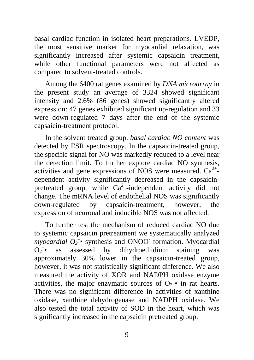basal cardiac function in isolated heart preparations. LVEDP, the most sensitive marker for myocardial relaxation, was significantly increased after systemic capsaicin treatment, while other functional parameters were not affected as compared to solvent-treated controls.

Among the 6400 rat genes examined by *DNA microarray* in the present study an average of 3324 showed significant intensity and 2.6% (86 genes) showed significantly altered expression: 47 genes exhibited significant up-regulation and 33 were down-regulated 7 days after the end of the systemic capsaicin-treatment protocol.

In the solvent treated group, *basal cardiac NO content* was detected by ESR spectroscopy. In the capsaicin-treated group, the specific signal for NO was markedly reduced to a level near the detection limit. To further explore cardiac NO synthesis, activities and gene expressions of NOS were measured.  $Ca^{2+}$ dependent activity significantly decreased in the capsaicinpretreated group, while  $Ca^{2+}$ -independent activity did not change. The mRNA level of endothelial NOS was significantly down-regulated by capsaicin-treatment, however, the expression of neuronal and inducible NOS was not affected.

To further test the mechanism of reduced cardiac NO due to systemic capsaicin pretreatment we systematically analyzed *myocardial*  $O_2$ <sup> $-$ </sup> synthesis and ONOO<sup>-</sup> formation. Myocardial  $O_2^-$ • as assessed by dihydroethidium staining was approximately 30% lower in the capsaicin-treated group, however, it was not statistically significant difference. We also measured the activity of XOR and NADPH oxidase enzyme activities, the major enzymatic sources of  $O_2$ <sup>-</sup> in rat hearts. There was no significant difference in activities of xanthine oxidase, xanthine dehydrogenase and NADPH oxidase. We also tested the total activity of SOD in the heart, which was significantly increased in the capsaicin pretreated group.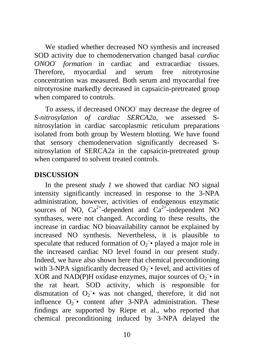We studied whether decreased NO synthesis and increased SOD activity due to chemodenervation changed basal *cardiac ONOO- formation* in cardiac and extracardiac tissues. Therefore, myocardial and serum free nitrotyrosine concentration was measured. Both serum and myocardial free nitrotyrosine markedly decreased in capsaicin-pretreated group when compared to controls.

To assess, if decreased ONOO may decrease the degree of *S-nitrosylation of cardiac SERCA2a*, we assessed Snitrosylation in cardiac sarcoplasmic reticulum preparations isolated from both group by Western blotting. We have found that sensory chemodenervation significantly decreased Snitrosylation of SERCA2a in the capsaicin-pretreated group when compared to solvent treated controls.

## **DISCUSSION**

In the present *study 1* we showed that cardiac NO signal intensity significantly increased in response to the 3-NPA administration, however, activities of endogenous enzymatic sources of NO,  $Ca^{2+}$ -dependent and  $Ca^{2+}$ -independent NO synthases, were not changed. According to these results, the increase in cardiac NO bioavailability cannot be explained by increased NO synthesis. Nevertheless, it is plausible to speculate that reduced formation of  $O_2$  • played a major role in the increased cardiac NO level found in our present study. Indeed, we have also shown here that chemical preconditioning with 3-NPA significantly decreased  $O_2^-$  level, and activities of XOR and NAD(P)H oxidase enzymes, major sources of  $O_2$ <sup>-</sup> in the rat heart. SOD activity, which is responsible for dismutation of  $O_2$ <sup>-•</sup> was not changed, therefore, it did not influence  $O_2$  • content after 3-NPA administration. These findings are supported by Riepe et al., who reported that chemical preconditioning induced by 3-NPA delayed the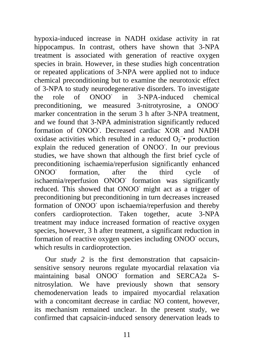hypoxia-induced increase in NADH oxidase activity in rat hippocampus. In contrast, others have shown that 3-NPA treatment is associated with generation of reactive oxygen species in brain. However, in these studies high concentration or repeated applications of 3-NPA were applied not to induce chemical preconditioning but to examine the neurotoxic effect of 3-NPA to study neurodegenerative disorders. To investigate the role of ONOO in 3-NPA-induced chemical preconditioning, we measured 3-nitrotyrosine, a ONOOmarker concentration in the serum 3 h after 3-NPA treatment. and we found that 3-NPA administration significantly reduced formation of ONOO. Decreased cardiac XOR and NADH oxidase activities which resulted in a reduced  $O_2$  • production explain the reduced generation of ONOO. In our previous studies, we have shown that although the first brief cycle of preconditioning ischaemia/reperfusion significantly enhanced ONOO formation, after the third cycle of ischaemia/reperfusion ONOO- formation was significantly reduced. This showed that ONOO might act as a trigger of preconditioning but preconditioning in turn decreases increased formation of ONOO upon ischaemia/reperfusion and thereby confers cardioprotection. Taken together, acute 3-NPA treatment may induce increased formation of reactive oxygen species, however, 3 h after treatment, a significant reduction in formation of reactive oxygen species including ONOO<sup>-</sup> occurs, which results in cardioprotection.

Our *study 2* is the first demonstration that capsaicinsensitive sensory neurons regulate myocardial relaxation via maintaining basal ONOO formation and SERCA2a Snitrosylation. We have previously shown that sensory chemodenervation leads to impaired myocardial relaxation with a concomitant decrease in cardiac NO content, however, its mechanism remained unclear. In the present study, we confirmed that capsaicin-induced sensory denervation leads to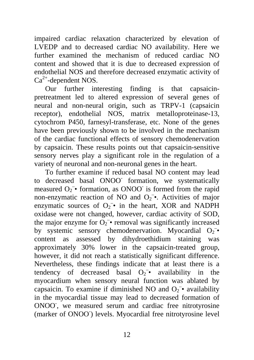impaired cardiac relaxation characterized by elevation of LVEDP and to decreased cardiac NO availability. Here we further examined the mechanism of reduced cardiac NO content and showed that it is due to decreased expression of endothelial NOS and therefore decreased enzymatic activity of  $Ca^{2+}$ -dependent NOS.

Our further interesting finding is that capsaicinpretreatment led to altered expression of several genes of neural and non-neural origin, such as TRPV-1 (capsaicin receptor), endothelial NOS, matrix metalloproteinase-13, cytochrom P450, farnesyl-transferase, etc. None of the genes have been previously shown to be involved in the mechanism of the cardiac functional effects of sensory chemodenervation by capsaicin. These results points out that capsaicin-sensitive sensory nerves play a significant role in the regulation of a variety of neuronal and non-neuronal genes in the heart.

To further examine if reduced basal NO content may lead to decreased basal ONOO- formation, we systematically measured  $O_2^-$  formation, as ONOO is formed from the rapid non-enzymatic reaction of NO and  $O_2$ <sup>-</sup>. Activities of major enzymatic sources of  $O_2^-$  in the heart, XOR and NADPH oxidase were not changed, however, cardiac activity of SOD, the major enzyme for  $O_2$ <sup>-•</sup> removal was significantly increased by systemic sensory chemodenervation. Myocardial  $O_2^$ content as assessed by dihydroethidium staining was approximately 30% lower in the capsaicin-treated group, however, it did not reach a statistically significant difference. Nevertheless, these findings indicate that at least there is a tendency of decreased basal  $O_2$  availability in the myocardium when sensory neural function was ablated by capsaicin. To examine if diminished NO and  $O_2$  • availability in the myocardial tissue may lead to decreased formation of ONOO, we measured serum and cardiac free nitrotyrosine (marker of ONOO<sup>-</sup>) levels. Myocardial free nitrotyrosine level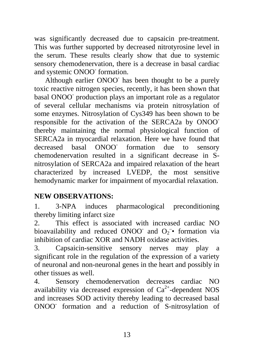was significantly decreased due to capsaicin pre-treatment. This was further supported by decreased nitrotyrosine level in the serum. These results clearly show that due to systemic sensory chemodenervation, there is a decrease in basal cardiac and systemic ONOO<sup>-</sup> formation.

Although earlier ONOO- has been thought to be a purely toxic reactive nitrogen species, recently, it has been shown that basal ONOO- production plays an important role as a regulator of several cellular mechanisms via protein nitrosylation of some enzymes. Nitrosylation of Cys349 has been shown to be responsible for the activation of the SERCA2a by ONOOthereby maintaining the normal physiological function of SERCA2a in myocardial relaxation. Here we have found that decreased basal ONOO formation due to sensory chemodenervation resulted in a significant decrease in Snitrosylation of SERCA2a and impaired relaxation of the heart characterized by increased LVEDP, the most sensitive hemodynamic marker for impairment of myocardial relaxation.

## **NEW OBSERVATIONS:**

1. 3-NPA induces pharmacological preconditioning thereby limiting infarct size

2. This effect is associated with increased cardiac NO bioavailability and reduced ONOO and  $O_2$  formation via inhibition of cardiac XOR and NADH oxidase activities.

3. Capsaicin-sensitive sensory nerves may play a significant role in the regulation of the expression of a variety of neuronal and non-neuronal genes in the heart and possibly in other tissues as well.

4. Sensory chemodenervation decreases cardiac NO availability via decreased expression of  $Ca^{2+}$ -dependent NOS and increases SOD activity thereby leading to decreased basal ONOO- formation and a reduction of S-nitrosylation of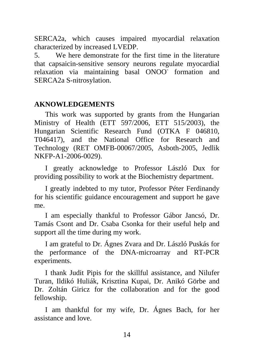SERCA2a, which causes impaired myocardial relaxation characterized by increased LVEDP.

5. We here demonstrate for the first time in the literature that capsaicin-sensitive sensory neurons regulate myocardial relaxation via maintaining basal ONOO formation and SERCA2a S-nitrosylation.

#### **AKNOWLEDGEMENTS**

This work was supported by grants from the Hungarian Ministry of Health (ETT 597/2006, ETT 515/2003), the Hungarian Scientific Research Fund (OTKA F 046810, T046417), and the National Office for Research and Technology (RET OMFB-00067/2005, Asboth-2005, Jedlik NKFP-A1-2006-0029).

I greatly acknowledge to Professor László Dux for providing possibility to work at the Biochemistry department.

I greatly indebted to my tutor, Professor Péter Ferdinandy for his scientific guidance encouragement and support he gave me.

I am especially thankful to Professor Gábor Jancsó, Dr. Tamás Csont and Dr. Csaba Csonka for their useful help and support all the time during my work.

I am grateful to Dr. Ágnes Zvara and Dr. László Puskás for the performance of the DNA-microarray and RT-PCR experiments.

I thank Judit Pipis for the skillful assistance, and Nilufer Turan, Ildikó Huliák, Krisztina Kupai, Dr. Anikó Görbe and Dr. Zoltán Giricz for the collaboration and for the good fellowship.

I am thankful for my wife, Dr. Ágnes Bach, for her assistance and love.